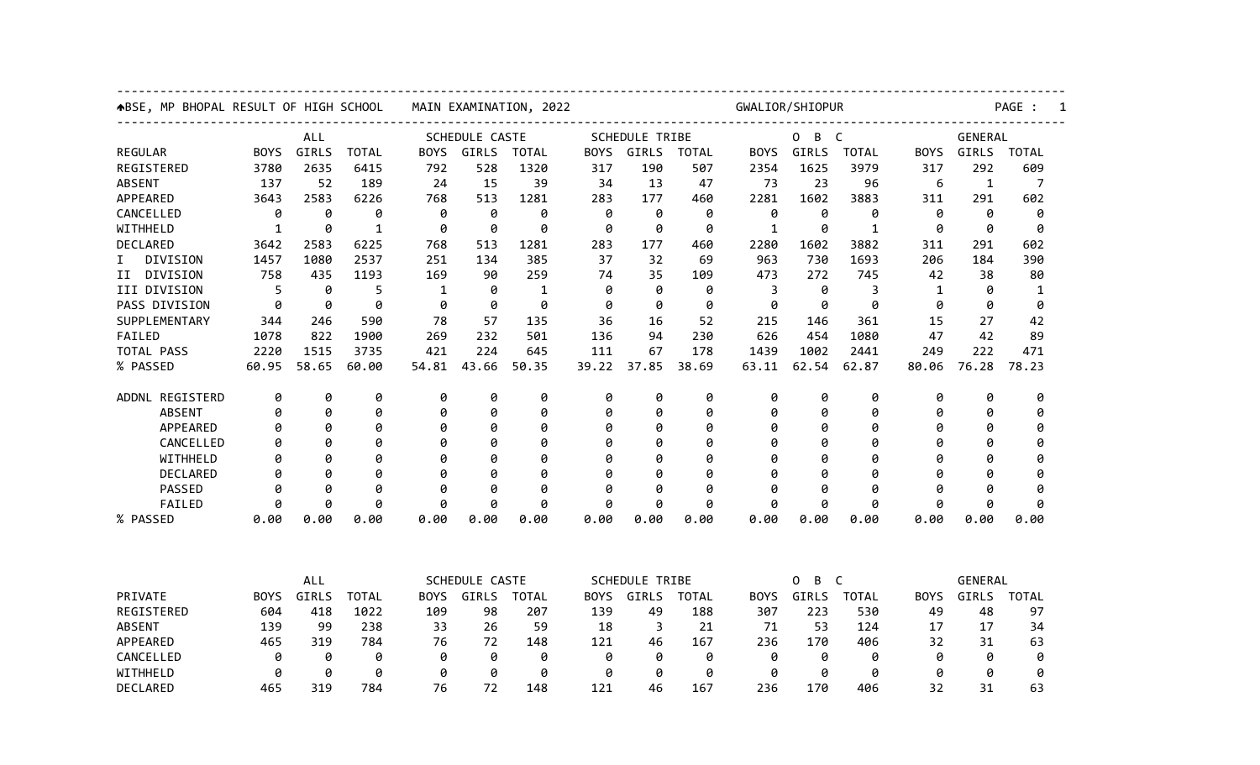| ABSE, MP BHOPAL RESULT OF HIGH SCHOOL |              |            |              | MAIN EXAMINATION, 2022         |       |              |                                                               |                       | GWALIOR/SHIOPUR                                                |              |                        |              |                                                        |              | PAGE :       |  |  |  |
|---------------------------------------|--------------|------------|--------------|--------------------------------|-------|--------------|---------------------------------------------------------------|-----------------------|----------------------------------------------------------------|--------------|------------------------|--------------|--------------------------------------------------------|--------------|--------------|--|--|--|
| <b>ALL</b>                            |              |            |              | SCHEDULE CASTE                 |       |              |                                                               | <b>SCHEDULE TRIBE</b> |                                                                |              | B<br>$\mathsf{C}$<br>0 |              |                                                        | GENERAL      |              |  |  |  |
| <b>REGULAR</b>                        | <b>BOYS</b>  | GIRLS      | <b>TOTAL</b> | <b>BOYS</b>                    | GIRLS | <b>TOTAL</b> | <b>BOYS</b>                                                   | GIRLS                 | <b>TOTAL</b>                                                   | <b>BOYS</b>  | GIRLS                  | <b>TOTAL</b> | <b>BOYS</b>                                            | <b>GIRLS</b> | <b>TOTAL</b> |  |  |  |
| REGISTERED                            | 3780         | 2635       | 6415         | 792                            | 528   | 1320         | 317                                                           | 190                   | 507                                                            | 2354         | 1625                   | 3979         | 317                                                    | 292          | 609          |  |  |  |
| <b>ABSENT</b>                         | 137          | 52         | 189          | 24                             | 15    | 39           | 34                                                            | 13                    | 47                                                             | 73           | 23                     | 96           | 6                                                      | $\mathbf{1}$ | 7            |  |  |  |
| APPEARED                              | 3643         | 2583       | 6226         | 768                            | 513   | 1281         | 283                                                           | 177                   | 460                                                            | 2281         | 1602                   | 3883         | 311                                                    | 291          | 602          |  |  |  |
| CANCELLED                             | 0            | 0          | 0            | 0                              | 0     | 0            | 0                                                             | 0                     | 0                                                              | 0            | 0                      | 0            | 0                                                      | 0            | 0            |  |  |  |
| WITHHELD                              | $\mathbf{1}$ | 0          | $\mathbf{1}$ | 0                              | 0     | 0            | 0                                                             | 0                     | 0                                                              | $\mathbf{1}$ | 0                      | $\mathbf{1}$ | 0                                                      | 0            | 0            |  |  |  |
| DECLARED                              | 3642         | 2583       | 6225         | 768                            | 513   | 1281         | 283                                                           | 177                   | 460                                                            | 2280         | 1602                   | 3882         | 311                                                    | 291          | 602          |  |  |  |
| DIVISION<br>I.                        | 1457         | 1080       | 2537         | 251                            | 134   | 385          | 37                                                            | 32                    | 69                                                             | 963          | 730                    | 1693         | 206                                                    | 184          | 390          |  |  |  |
| DIVISION<br>ΙI                        | 758          | 435        | 1193         | 169                            | 90    | 259          | 74                                                            | 35                    | 109                                                            | 473          | 272                    | 745          | 42                                                     | 38           | 80           |  |  |  |
| III DIVISION                          | 5            | 0          | 5            | $\mathbf{1}$                   | 0     | 1            | 0                                                             | 0                     | 0                                                              | 3            | 0                      | 3            | $\mathbf 1$                                            | 0            | $\mathbf{1}$ |  |  |  |
| PASS DIVISION                         | 0            | 0          | 0            | 0                              | 0     | 0            | 0                                                             | 0                     | 0                                                              | 0            | 0                      | 0            | 0                                                      | 0            | 0            |  |  |  |
| SUPPLEMENTARY                         | 344          | 246        | 590          | 78                             | 57    | 135          | 36                                                            | 16                    | 52                                                             | 215          | 146                    | 361          | 15                                                     | 27           | 42           |  |  |  |
| FAILED                                | 1078         | 822        | 1900         | 269                            | 232   | 501          | 136                                                           | 94                    | 230                                                            | 626          | 454                    | 1080         | 47                                                     | 42           | 89           |  |  |  |
| TOTAL PASS                            | 2220         | 1515       | 3735         | 421                            | 224   | 645          | 111                                                           | 67                    | 178                                                            | 1439         | 1002                   | 2441         | 249                                                    | 222          | 471          |  |  |  |
| % PASSED                              | 60.95        | 58.65      | 60.00        | 54.81                          | 43.66 | 50.35        | 39.22                                                         | 37.85                 | 38.69                                                          | 63.11        | 62.54                  | 62.87        | 80.06                                                  | 76.28        | 78.23        |  |  |  |
| ADDNL REGISTERD                       | 0            | 0          | 0            | 0                              | 0     | 0            | 0                                                             | 0                     | 0                                                              | 0            | 0                      | 0            | 0                                                      | 0            | 0            |  |  |  |
| <b>ABSENT</b>                         | 0            | 0          | 0            | 0                              | 0     | 0            | 0                                                             | 0                     | 0                                                              | 0            | 0                      | 0            | 0                                                      | 0            | 0            |  |  |  |
| APPEARED                              | 0            | 0          | 0            | 0                              | 0     | 0            | 0                                                             | 0                     | 0                                                              | Ø            | 0                      | 0            | Ø                                                      | 0            | 0            |  |  |  |
| CANCELLED                             | Ø            | ø          | 0            | Ø                              | 0     | 0            | Ø                                                             | Ø                     | 0                                                              | Ø            | 0                      | 0            | Ø                                                      | 0            | 0            |  |  |  |
| WITHHELD                              | Ø            | Ø          | 0            | Ø                              | 0     | 0            | Ø                                                             | Ø                     | 0                                                              | Ø            | 0                      | 0            | Ø                                                      | Ø            | Ø            |  |  |  |
| DECLARED                              | 0            | 0          | 0            | Ø                              | 0     | 0            | 0                                                             | 0                     | 0                                                              | Ø            | 0                      | 0            | Ø                                                      | 0            | 0            |  |  |  |
| <b>PASSED</b>                         | 0            | ø          | 0            | 0                              | 0     | 0            | 0                                                             | ø                     | 0                                                              | ø            | 0                      | 0            | 0                                                      | 0            | 0            |  |  |  |
| FAILED                                | ø            | Ø          | 0            | ø                              | 0     | 0            | ø                                                             | Ø                     | 0                                                              | ø            | ø                      | 0            | ø                                                      | 0            | 0            |  |  |  |
| % PASSED                              | 0.00         | 0.00       | 0.00         | 0.00                           | 0.00  | 0.00         | 0.00                                                          | 0.00                  | 0.00                                                           | 0.00         | 0.00                   | 0.00         | 0.00                                                   | 0.00         | 0.00         |  |  |  |
|                                       |              |            |              |                                |       |              |                                                               |                       |                                                                |              |                        |              |                                                        |              |              |  |  |  |
|                                       |              | <b>ALL</b> |              | SCHEDULE CASTE<br><b>TOTAL</b> |       |              | <b>SCHEDULE TRIBE</b><br>GIRLS<br><b>TOTAL</b><br><b>BOYS</b> |                       | B<br>$\mathsf{C}$<br>0<br>GIRLS<br><b>BOYS</b><br><b>TOTAL</b> |              |                        |              | <b>GENERAL</b><br><b>BOYS</b><br>GIRLS<br><b>TOTAL</b> |              |              |  |  |  |
| PRIVATE                               | <b>BOYS</b>  | GIRLS      | <b>TOTAL</b> | <b>BOYS</b>                    | GIRLS |              |                                                               |                       |                                                                |              |                        |              |                                                        |              |              |  |  |  |
| REGISTERED                            | 604          | 418        | 1022         | 109                            | 98    | 207          | 139                                                           | 49                    | 188                                                            | 307          | 223                    | 530          | 49                                                     | 48           | 97           |  |  |  |
| <b>ABSENT</b>                         | 139          | 99         | 238          | 33                             | 26    | 59           | 18                                                            | 3                     | 21                                                             | 71           | 53                     | 124          | 17                                                     | 17           | 34           |  |  |  |
| APPEARED                              | 465          | 319        | 784          | 76                             | 72    | 148          | 121                                                           | 46                    | 167                                                            | 236          | 170                    | 406          | 32                                                     | 31           | 63           |  |  |  |
| CANCELLED                             | 0            | 0          | 0            | 0                              | 0     | 0            | 0                                                             | 0                     | 0                                                              | 0            | 0                      | 0            | 0                                                      | 0            | 0            |  |  |  |
| WITHHELD                              | 0            | 0          | 0            | 0                              | 0     | 0            | 0                                                             | 0                     | 0                                                              | 0            | 0                      | 0            | 0                                                      | 0            | 0            |  |  |  |
| DECLARED                              | 465          | 319        | 784          | 76                             | 72    | 148          | 121                                                           | 46                    | 167                                                            | 236          | 170                    | 406          | 32                                                     | 31           | 63           |  |  |  |